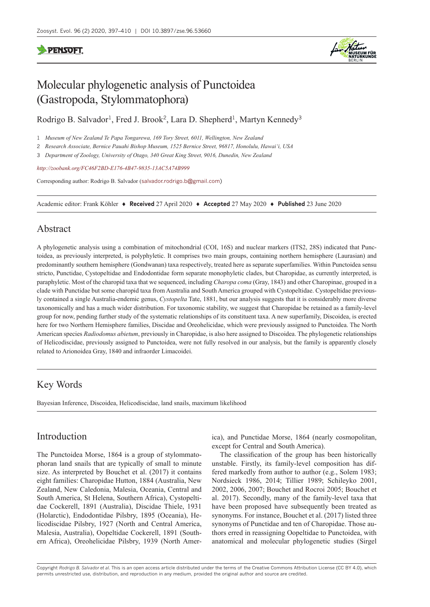# **PENSOFT**



# Molecular phylogenetic analysis of Punctoidea (Gastropoda, Stylommatophora)

Rodrigo B. Salvador<sup>1</sup>, Fred J. Brook<sup>2</sup>, Lara D. Shepherd<sup>1</sup>, Martyn Kennedy<sup>3</sup>

1 *Museum of New Zealand Te Papa Tongarewa, 169 Tory Street, 6011, Wellington, New Zealand*

2 *Research Associate, Bernice Pauahi Bishop Museum, 1525 Bernice Street, 96817, Honolulu, Hawai'i, USA*

3 *Department of Zoology, University of Otago, 340 Great King Street, 9016, Dunedin, New Zealand*

*<http://zoobank.org/FC46F2BD-E176-4B47-9835-13AC5A74B999>*

Corresponding author: Rodrigo B. Salvador ([salvador.rodrigo.b@gmail.com\)](mailto:salvador.rodrigo.b@gmail.com)

Academic editor: Frank Köhler ♦ **Received** 27 April 2020 ♦ **Accepted** 27 May 2020 ♦ **Published** 23 June 2020

# Abstract

A phylogenetic analysis using a combination of mitochondrial (COI, 16S) and nuclear markers (ITS2, 28S) indicated that Punctoidea, as previously interpreted, is polyphyletic. It comprises two main groups, containing northern hemisphere (Laurasian) and predominantly southern hemisphere (Gondwanan) taxa respectively, treated here as separate superfamilies. Within Punctoidea sensu stricto, Punctidae, Cystopeltidae and Endodontidae form separate monophyletic clades, but Charopidae, as currently interpreted, is paraphyletic. Most of the charopid taxa that we sequenced, including *Charopa coma* (Gray, 1843) and other Charopinae, grouped in a clade with Punctidae but some charopid taxa from Australia and South America grouped with Cystopeltidae. Cystopeltidae previously contained a single Australia-endemic genus, *Cystopelta* Tate, 1881, but our analysis suggests that it is considerably more diverse taxonomically and has a much wider distribution. For taxonomic stability, we suggest that Charopidae be retained as a family-level group for now, pending further study of the systematic relationships of its constituent taxa. A new superfamily, Discoidea, is erected here for two Northern Hemisphere families, Discidae and Oreohelicidae, which were previously assigned to Punctoidea. The North American species *Radiodomus abietum*, previously in Charopidae, is also here assigned to Discoidea. The phylogenetic relationships of Helicodiscidae, previously assigned to Punctoidea, were not fully resolved in our analysis, but the family is apparently closely related to Arionoidea Gray, 1840 and infraorder Limacoidei.

# Key Words

Bayesian Inference, Discoidea, Helicodiscidae, land snails, maximum likelihood

# Introduction

The Punctoidea Morse, 1864 is a group of stylommatophoran land snails that are typically of small to minute size. As interpreted by Bouchet et al. (2017) it contains eight families: Charopidae Hutton, 1884 (Australia, New Zealand, New Caledonia, Malesia, Oceania, Central and South America, St Helena, Southern Africa), Cystopeltidae Cockerell, 1891 (Australia), Discidae Thiele, 1931 (Holarctic), Endodontidae Pilsbry, 1895 (Oceania), Helicodiscidae Pilsbry, 1927 (North and Central America, Malesia, Australia), Oopeltidae Cockerell, 1891 (Southern Africa), Oreohelicidae Pilsbry, 1939 (North America), and Punctidae Morse, 1864 (nearly cosmopolitan, except for Central and South America).

The classification of the group has been historically unstable. Firstly, its family-level composition has differed markedly from author to author (e.g., Solem 1983; Nordsieck 1986, 2014; Tillier 1989; Schileyko 2001, 2002, 2006, 2007; Bouchet and Rocroi 2005; Bouchet et al. 2017). Secondly, many of the family-level taxa that have been proposed have subsequently been treated as synonyms. For instance, Bouchet et al. (2017) listed three synonyms of Punctidae and ten of Charopidae. Those authors erred in reassigning Oopeltidae to Punctoidea, with anatomical and molecular phylogenetic studies (Sirgel

Copyright *Rodrigo B. Salvador et al.* This is an open access article distributed under the terms of the [Creative Commons Attribution License \(CC BY 4.0\),](http://creativecommons.org/licenses/by/4.0/) which permits unrestricted use, distribution, and reproduction in any medium, provided the original author and source are credited.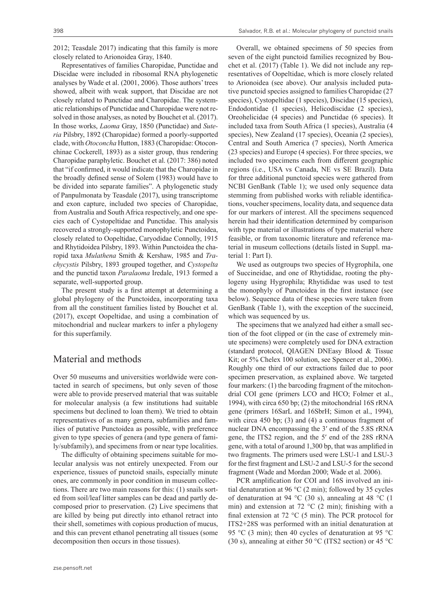2012; Teasdale 2017) indicating that this family is more closely related to Arionoidea Gray, 1840.

Representatives of families Charopidae, Punctidae and Discidae were included in ribosomal RNA phylogenetic analyses by Wade et al. (2001, 2006). Those authors' trees showed, albeit with weak support, that Discidae are not closely related to Punctidae and Charopidae. The systematic relationships of Punctidae and Charopidae were not resolved in those analyses, as noted by Bouchet et al. (2017). In those works, *Laoma* Gray, 1850 (Punctidae) and *Suteria* Pilsbry, 1892 (Charopidae) formed a poorly-supported clade, with *Otoconcha* Hutton, 1883 (Charopidae: Otoconchinae Cockerell, 1893) as a sister group, thus rendering Charopidae paraphyletic. Bouchet et al. (2017: 386) noted that "if confirmed, it would indicate that the Charopidae in the broadly defined sense of Solem (1983) would have to be divided into separate families". A phylogenetic study of Panpulmonata by Teasdale (2017), using transcriptome and exon capture, included two species of Charopidae, from Australia and South Africa respectively, and one species each of Cystopeltidae and Punctidae. This analysis recovered a strongly-supported monophyletic Punctoidea, closely related to Oopeltidae, Caryodidae Connolly, 1915 and Rhytidoidea Pilsbry, 1893. Within Punctoidea the charopid taxa *Mulathena* Smith & Kershaw, 1985 and *Trachycystis* Pilsbry, 1893 grouped together, and *Cystopelta* and the punctid taxon *Paralaoma* Iredale, 1913 formed a separate, well-supported group.

The present study is a first attempt at determining a global phylogeny of the Punctoidea, incorporating taxa from all the constituent families listed by Bouchet et al. (2017), except Oopeltidae, and using a combination of mitochondrial and nuclear markers to infer a phylogeny for this superfamily.

# Material and methods

Over 50 museums and universities worldwide were contacted in search of specimens, but only seven of those were able to provide preserved material that was suitable for molecular analysis (a few institutions had suitable specimens but declined to loan them). We tried to obtain representatives of as many genera, subfamilies and families of putative Punctoidea as possible, with preference given to type species of genera (and type genera of family/subfamily), and specimens from or near type localities.

The difficulty of obtaining specimens suitable for molecular analysis was not entirely unexpected. From our experience, tissues of punctoid snails, especially minute ones, are commonly in poor condition in museum collections. There are two main reasons for this: (1) snails sorted from soil/leaf litter samples can be dead and partly decomposed prior to preservation. (2) Live specimens that are killed by being put directly into ethanol retract into their shell, sometimes with copious production of mucus, and this can prevent ethanol penetrating all tissues (some decomposition then occurs in those tissues).

Overall, we obtained specimens of 50 species from seven of the eight punctoid families recognized by Bouchet et al. (2017) (Table 1). We did not include any representatives of Oopeltidae, which is more closely related to Arionoidea (see above). Our analysis included putative punctoid species assigned to families Charopidae (27 species), Cystopeltidae (1 species), Discidae (15 species), Endodontidae (1 species), Helicodiscidae (2 species), Oreohelicidae (4 species) and Punctidae (6 species). It included taxa from South Africa (1 species), Australia (4 species), New Zealand (17 species), Oceania (2 species), Central and South America (7 species), North America (23 species) and Europe (4 species). For three species, we included two specimens each from different geographic regions (i.e., USA vs Canada, NE vs SE Brazil). Data for three additional punctoid species were gathered from NCBI GenBank (Table 1); we used only sequence data stemming from published works with reliable identifications, voucher specimens, locality data, and sequence data for our markers of interest. All the specimens sequenced herein had their identification determined by comparison with type material or illustrations of type material where feasible, or from taxonomic literature and reference material in museum collections (details listed in Suppl. material 1: Part I).

We used as outgroups two species of Hygrophila, one of Succineidae, and one of Rhytididae, rooting the phylogeny using Hygrophila; Rhytididae was used to test the monophyly of Punctoidea in the first instance (see below). Sequence data of these species were taken from GenBank (Table 1), with the exception of the succineid, which was sequenced by us.

The specimens that we analyzed had either a small section of the foot clipped or (in the case of extremely minute specimens) were completely used for DNA extraction (standard protocol, QIAGEN DNEasy Blood & Tissue Kit; or 5% Chelex 100 solution, see Spencer et al., 2006). Roughly one third of our extractions failed due to poor specimen preservation, as explained above. We targeted four markers: (1) the barcoding fragment of the mitochondrial COI gene (primers LCO and HCO; Folmer et al., 1994), with circa 650 bp; (2) the mitochondrial 16S rRNA gene (primers 16SarL and 16SbrH; Simon et al., 1994), with circa 450 bp; (3) and (4) a continuous fragment of nuclear DNA encompassing the 3′ end of the 5.8S rRNA gene, the ITS2 region, and the 5′ end of the 28S rRNA gene, with a total of around 1,300 bp, that was amplified in two fragments. The primers used were LSU-1 and LSU-3 for the first fragment and LSU-2 and LSU-5 for the second fragment (Wade and Mordan 2000; Wade et al. 2006).

PCR amplification for COI and 16S involved an initial denaturation at 96 °C (2 min); followed by 35 cycles of denaturation at 94 °C (30 s), annealing at 48 °C (1 min) and extension at 72 °C (2 min); finishing with a final extension at 72  $\rm{^{\circ}C}$  (5 min). The PCR protocol for ITS2+28S was performed with an initial denaturation at 95 °C (3 min); then 40 cycles of denaturation at 95 °C (30 s), annealing at either 50  $\rm{°C}$  (ITS2 section) or 45  $\rm{°C}$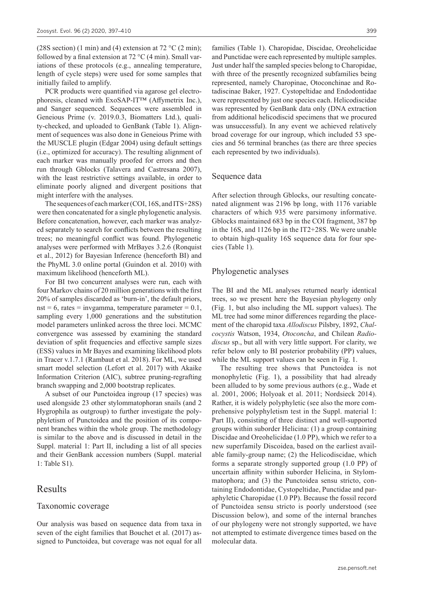(28S section) (1 min) and (4) extension at  $72 \text{ °C}$  (2 min); followed by a final extension at  $72 \degree C$  (4 min). Small variations of these protocols (e.g., annealing temperature, length of cycle steps) were used for some samples that initially failed to amplify.

PCR products were quantified via agarose gel electrophoresis, cleaned with ExoSAP-IT™ (Affymetrix Inc.), and Sanger sequenced. Sequences were assembled in Geneious Prime (v. 2019.0.3, Biomatters Ltd.), quality-checked, and uploaded to GenBank (Table 1). Alignment of sequences was also done in Geneious Prime with the MUSCLE plugin (Edgar 2004) using default settings (i.e., optimized for accuracy). The resulting alignment of each marker was manually proofed for errors and then run through Gblocks (Talavera and Castresana 2007), with the least restrictive settings available, in order to eliminate poorly aligned and divergent positions that might interfere with the analyses.

The sequences of each marker (COI, 16S, and ITS+28S) were then concatenated for a single phylogenetic analysis. Before concatenation, however, each marker was analyzed separately to search for conflicts between the resulting trees; no meaningful conflict was found. Phylogenetic analyses were performed with MrBayes 3.2.6 (Ronquist et al., 2012) for Bayesian Inference (henceforth BI) and the PhyML 3.0 online portal (Guindon et al. 2010) with maximum likelihood (henceforth ML).

For BI two concurrent analyses were run, each with four Markov chains of 20 million generations with the first 20% of samples discarded as 'burn-in', the default priors, nst = 6, rates = invgamma, temperature parameter =  $0.1$ , sampling every 1,000 generations and the substitution model parameters unlinked across the three loci. MCMC convergence was assessed by examining the standard deviation of split frequencies and effective sample sizes (ESS) values in Mr Bayes and examining likelihood plots in Tracer v.1.7.1 (Rambaut et al. 2018). For ML, we used smart model selection (Lefort et al. 2017) with Akaike Information Criterion (AIC), subtree pruning-regrafting branch swapping and 2,000 bootstrap replicates.

A subset of our Punctoidea ingroup (17 species) was used alongside 23 other stylommatophoran snails (and 2 Hygrophila as outgroup) to further investigate the polyphyletism of Punctoidea and the position of its component branches within the whole group. The methodology is similar to the above and is discussed in detail in the Suppl. material 1: Part II, including a list of all species and their GenBank accession numbers (Suppl. material 1: Table S1).

# Results

#### Taxonomic coverage

Our analysis was based on sequence data from taxa in seven of the eight families that Bouchet et al. (2017) assigned to Punctoidea, but coverage was not equal for all

families (Table 1). Charopidae, Discidae, Oreohelicidae and Punctidae were each represented by multiple samples. Just under half the sampled species belong to Charopidae, with three of the presently recognized subfamilies being represented, namely Charopinae, Otoconchinae and Rotadiscinae Baker, 1927. Cystopeltidae and Endodontidae were represented by just one species each. Helicodiscidae was represented by GenBank data only (DNA extraction from additional helicodiscid specimens that we procured was unsuccessful). In any event we achieved relatively broad coverage for our ingroup, which included 53 species and 56 terminal branches (as there are three species each represented by two individuals).

### Sequence data

After selection through Gblocks, our resulting concatenated alignment was 2196 bp long, with 1176 variable characters of which 935 were parsimony informative. Gblocks maintained 683 bp in the COI fragment, 387 bp in the 16S, and 1126 bp in the IT2+28S. We were unable to obtain high-quality 16S sequence data for four species (Table 1).

### Phylogenetic analyses

The BI and the ML analyses returned nearly identical trees, so we present here the Bayesian phylogeny only (Fig. 1, but also including the ML support values). The ML tree had some minor differences regarding the placement of the charopid taxa *Allodiscus* Pilsbry, 1892, *Chalcocystis* Watson, 1934, *Otoconcha*, and Chilean *Radiodiscus* sp., but all with very little support. For clarity, we refer below only to BI posterior probability (PP) values, while the ML support values can be seen in Fig. 1.

The resulting tree shows that Punctoidea is not monophyletic (Fig. 1), a possibility that had already been alluded to by some previous authors (e.g., Wade et al. 2001, 2006; Holyoak et al. 2011; Nordsieck 2014). Rather, it is widely polyphyletic (see also the more comprehensive polyphyletism test in the Suppl. material 1: Part II), consisting of three distinct and well-supported groups within suborder Helicina: (1) a group containing Discidae and Oreohelicidae (1.0 PP), which we refer to a new superfamily Discoidea, based on the earliest available family-group name; (2) the Helicodiscidae, which forms a separate strongly supported group (1.0 PP) of uncertain affinity within suborder Helicina, in Stylommatophora; and (3) the Punctoidea sensu stricto, containing Endodontidae, Cystopeltidae, Punctidae and paraphyletic Charopidae (1.0 PP). Because the fossil record of Punctoidea sensu stricto is poorly understood (see Discussion below), and some of the internal branches of our phylogeny were not strongly supported, we have not attempted to estimate divergence times based on the molecular data.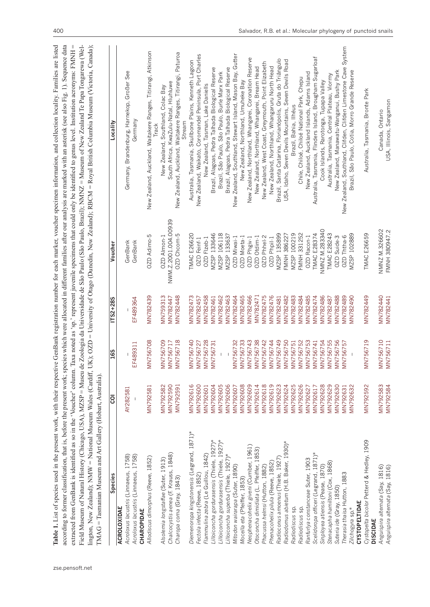| TMAG = Tasmanian Museum and Art Gallery (Hobart, Australia)               |                      |                                                                                                                                                                                                                    |                       |                                | Table 1. List of species used in the present work, with their respective GenBank registration number for each marker, voucher specimen information, and collection locality. Families are listed<br>according to former classification, that is, before the present work; species which were allocated in different families after our analysis are marked with an asterisk (see also Fig. 1). Sequence data<br>extracted from GenBank is identified as so in the 'Voucher' column. Taxa noted as 'sp.' represent juvenile specimens that could only be identified to genus level. Institution acronyms: FMNH =<br>Field Museum of Natural History (Chicago, USA), MZSP = Museu de Zoologia da Universidade de São Paulo (São Paulo, Brazil); NMNZ = Museum of New Zealand Te Papa Tongarewa (Wel-<br>lington, New Zealand); NMW = National Museum Wales (Cardiff, UK); OZD = University of Otago (Dunedin, New Zealand); RBCM = Royal British Columbia Museum (Victoria, Canada); |
|---------------------------------------------------------------------------|----------------------|--------------------------------------------------------------------------------------------------------------------------------------------------------------------------------------------------------------------|-----------------------|--------------------------------|------------------------------------------------------------------------------------------------------------------------------------------------------------------------------------------------------------------------------------------------------------------------------------------------------------------------------------------------------------------------------------------------------------------------------------------------------------------------------------------------------------------------------------------------------------------------------------------------------------------------------------------------------------------------------------------------------------------------------------------------------------------------------------------------------------------------------------------------------------------------------------------------------------------------------------------------------------------------------------|
| Species                                                                   | ర్రె                 | <b>16S</b>                                                                                                                                                                                                         | $1752 + 285$          | Voucher                        | Locality                                                                                                                                                                                                                                                                                                                                                                                                                                                                                                                                                                                                                                                                                                                                                                                                                                                                                                                                                                           |
| Acroloxus lacustris (Linnaeus, 1758)<br><b>ACROLOXIDAE</b>                | AY282581             |                                                                                                                                                                                                                    |                       | GenBank                        | Germany, Brandenburg, Harnekop, Großer See                                                                                                                                                                                                                                                                                                                                                                                                                                                                                                                                                                                                                                                                                                                                                                                                                                                                                                                                         |
| Acroloxus lacustris (Linnaeus, 1758)<br>CHAROPIDAE                        |                      | F489311<br>ш                                                                                                                                                                                                       | EF489364              | GenBank                        | Germany                                                                                                                                                                                                                                                                                                                                                                                                                                                                                                                                                                                                                                                                                                                                                                                                                                                                                                                                                                            |
| Allodiscus dimorphus (Reeve, 1852)                                        | <b>MN792581</b>      | N756708<br>Σ                                                                                                                                                                                                       | MN782439              | 0ZD Adimo-5                    | New Zealand, Auckland, Waitakere Ranges, Titirangi, Atkinson<br><b>Irack</b>                                                                                                                                                                                                                                                                                                                                                                                                                                                                                                                                                                                                                                                                                                                                                                                                                                                                                                       |
| Alsolemia longstaffae (Suter, 1913)                                       | MN792582             | N756709                                                                                                                                                                                                            | <b>MN759313</b>       | OZD Almon-1                    | New Zealand, Southland, Colac Bay                                                                                                                                                                                                                                                                                                                                                                                                                                                                                                                                                                                                                                                                                                                                                                                                                                                                                                                                                  |
| Chalcocystis aenea (F. Krauss, 1848)                                      | MN792590             | N756717<br>$\Sigma \geq \Sigma$                                                                                                                                                                                    | MN782447              | NWM.Z.2001.004.00939           | South Africa, KwaZulu-Natal, Hluhluwe                                                                                                                                                                                                                                                                                                                                                                                                                                                                                                                                                                                                                                                                                                                                                                                                                                                                                                                                              |
| Charopa coma (Gray, 1843)                                                 | MN792591             | N756718                                                                                                                                                                                                            | MN782448              | OZD Chcom-5                    | Paturoa<br>New Zealand, Auckland, Waitakere Ranges, Titirangi,<br>Stream                                                                                                                                                                                                                                                                                                                                                                                                                                                                                                                                                                                                                                                                                                                                                                                                                                                                                                           |
| Diemenoropa kingstonensis (Legrand, 1871)*                                | MN792616             | N756740                                                                                                                                                                                                            | MN782473              | <b>TMAC E26620</b>             | Australia, Tasmania, Skullbone Plains, Kenneth Lagoon                                                                                                                                                                                                                                                                                                                                                                                                                                                                                                                                                                                                                                                                                                                                                                                                                                                                                                                              |
| Fectola infecta (Reeve, 1852)                                             | MN792600             | N756727<br>$\geq$ $\geq$                                                                                                                                                                                           | MN782457              | OZD Feinf-1                    | New Zealand, Waikato, Coromandel Peninsula, Port Charles                                                                                                                                                                                                                                                                                                                                                                                                                                                                                                                                                                                                                                                                                                                                                                                                                                                                                                                           |
| Flammulina zebra (Le Guillou, 1842)                                       | MN792601             | N756728<br>$\geq$                                                                                                                                                                                                  | MN782458              | OZD Flzeb-1                    | New Zealand, Tasman, Lake Daniells                                                                                                                                                                                                                                                                                                                                                                                                                                                                                                                                                                                                                                                                                                                                                                                                                                                                                                                                                 |
| Lilloiconcha gordurasensis (Thiele, 1927)*                                | MN792604             | N756731                                                                                                                                                                                                            | <b>MN782461</b>       | MZSP 133646                    | Brazil, Alagoas, Pedra Talhada Biological Reserve                                                                                                                                                                                                                                                                                                                                                                                                                                                                                                                                                                                                                                                                                                                                                                                                                                                                                                                                  |
| Lilloiconcha gordurasensis (Thiele, 1927)*                                | MN792605             |                                                                                                                                                                                                                    | MN782462              | MZSP 106118                    | Brazil, São Paulo, São Paulo, Burle Marx Park                                                                                                                                                                                                                                                                                                                                                                                                                                                                                                                                                                                                                                                                                                                                                                                                                                                                                                                                      |
| Lilloiconcha superba (Thiele, 1927)*                                      | MN792606             |                                                                                                                                                                                                                    | MN782463              | MZSP 133637                    | Brazil, Alagoas, Pedra Talhada Biological Reserve                                                                                                                                                                                                                                                                                                                                                                                                                                                                                                                                                                                                                                                                                                                                                                                                                                                                                                                                  |
| Mitodon wairarapa (Suter, 1890)                                           | MN792607             | N756732                                                                                                                                                                                                            | MN782464              | OZD Miwai-1                    | New Zealand, Southland, Stewart Island, Mason Bay, Gutter                                                                                                                                                                                                                                                                                                                                                                                                                                                                                                                                                                                                                                                                                                                                                                                                                                                                                                                          |
| Mocella eta (Pfeiffer, 1853)                                              | MN792608             | N756733<br>$\Sigma \geq \Sigma$                                                                                                                                                                                    | MN782465              | OZD Moeta-1                    | New Zealand, Northland, Umuheke Bay                                                                                                                                                                                                                                                                                                                                                                                                                                                                                                                                                                                                                                                                                                                                                                                                                                                                                                                                                |
| Neophenacohelix giveni (Cumber, 1961)                                     | <b>MN792609</b>      | N756743                                                                                                                                                                                                            | <b>MN782466</b>       | OZD Phgiv-1                    | New Zealand, Northland, Whangarei, Coronation Reserve                                                                                                                                                                                                                                                                                                                                                                                                                                                                                                                                                                                                                                                                                                                                                                                                                                                                                                                              |
| Otoconcha dimidiata (L. Pfeiffer, 1853)<br>Phacussa helmsi (Hutton, 1882) | MN792614<br>MN792618 | N756738<br>N756742                                                                                                                                                                                                 | MN782471<br>MN782475  | OZD Phhel-2<br>0ZD Otdim-1     | New Zealand, West Coast, Greymouth, Point Elizabeth<br>New Zealand, Northland, Whangarei, Bream Head                                                                                                                                                                                                                                                                                                                                                                                                                                                                                                                                                                                                                                                                                                                                                                                                                                                                               |
| Phenacohelix pilula (Reeve, 1852)                                         | MN792619             | N756744<br>$\overline{\Sigma}$ $\overline{\Sigma}$ $\overline{\Sigma}$ $\overline{\Sigma}$ $\overline{\Sigma}$ $\overline{\Sigma}$ $\overline{\Sigma}$ $\overline{\Sigma}$ $\overline{\Sigma}$ $\overline{\Sigma}$ | MN782476              | OZD Phpil-1                    | New Zealand, Northland, Whangaruru North Head                                                                                                                                                                                                                                                                                                                                                                                                                                                                                                                                                                                                                                                                                                                                                                                                                                                                                                                                      |
| Radioconus amoenus (Thiele, 1927)                                         | MN792623             | N756749                                                                                                                                                                                                            | MN782481              | MZSP 135899                    | Brazil, Santa Catarina, Florianópolis, Gruta do Triângulo                                                                                                                                                                                                                                                                                                                                                                                                                                                                                                                                                                                                                                                                                                                                                                                                                                                                                                                          |
| Radiodomus abietum (H.B. Baker, 1930)*                                    | MN792624             | N756750                                                                                                                                                                                                            | MN782482              | FMNH 386227                    | USA, Idaho, Seven Devils Mountains, Seven Devils Road                                                                                                                                                                                                                                                                                                                                                                                                                                                                                                                                                                                                                                                                                                                                                                                                                                                                                                                              |
| Radiodiscus sp.                                                           | MN792625             | N756751                                                                                                                                                                                                            | MN782483              | MZSP 100219                    | Brazil, Bahia, Ilhéus                                                                                                                                                                                                                                                                                                                                                                                                                                                                                                                                                                                                                                                                                                                                                                                                                                                                                                                                                              |
| Radiodiscus sp.                                                           | MN792626             | N756752                                                                                                                                                                                                            | MN782484              | FMNH 331252                    | Chile, Chiloé, Chiloé National Park, Chepu                                                                                                                                                                                                                                                                                                                                                                                                                                                                                                                                                                                                                                                                                                                                                                                                                                                                                                                                         |
| Ranfurlya constanceae Suter, 1903                                         | MN792627             | N756753                                                                                                                                                                                                            | <b>MN782485</b>       | OZD Racon-1                    | New Zealand, Auckland Islands, Adams Island                                                                                                                                                                                                                                                                                                                                                                                                                                                                                                                                                                                                                                                                                                                                                                                                                                                                                                                                        |
| Scelidoropa officeri (Legrand, 1871)*                                     | MN792617             | N756741                                                                                                                                                                                                            | MN782474              | <b>TMAC E28374</b>             | Australia, Tasmania, Flinders Island, Brougham Sugarloaf                                                                                                                                                                                                                                                                                                                                                                                                                                                                                                                                                                                                                                                                                                                                                                                                                                                                                                                           |
| Sinployea atiensis (Pease, 1870)                                          | MN792628             | N756754                                                                                                                                                                                                            | MN782486              | NMNZ M.283340                  | Cook Islands, Rarotonga, Tupapa Valley                                                                                                                                                                                                                                                                                                                                                                                                                                                                                                                                                                                                                                                                                                                                                                                                                                                                                                                                             |
| Stenacapha hamiltoni (Cox, 1868)                                          | MN792629             | N756755                                                                                                                                                                                                            | MN782487              | <b>TMAC E28243</b>             | Australia, Tasmania, Central Plateau, Viormy                                                                                                                                                                                                                                                                                                                                                                                                                                                                                                                                                                                                                                                                                                                                                                                                                                                                                                                                       |
| Suteria ide (Gray, 1850)                                                  | MN792630<br>MN792631 | N756756<br>N756757<br>ΣΣ                                                                                                                                                                                           | MN782488<br>VIN782489 | OZD Ththa-6<br>OZD Suide-3     | New Zealand, Manawatu-Wanganui, Bushy Park                                                                                                                                                                                                                                                                                                                                                                                                                                                                                                                                                                                                                                                                                                                                                                                                                                                                                                                                         |
| Therasia thaisa Hutton, 1883                                              | MN792632             |                                                                                                                                                                                                                    | <b>MN782490</b>       | MZSP 102889                    | System<br>New Zealand, Southland, Clifden, Clifden Limestone Cave<br>Brazil, São Paulo, Cotia, Morro Grande Reserve                                                                                                                                                                                                                                                                                                                                                                                                                                                                                                                                                                                                                                                                                                                                                                                                                                                                |
| <b>CYSTOPELTIDAE</b><br>Zilchogyra sp.*                                   |                      |                                                                                                                                                                                                                    |                       |                                |                                                                                                                                                                                                                                                                                                                                                                                                                                                                                                                                                                                                                                                                                                                                                                                                                                                                                                                                                                                    |
| Cystopelta bicolor Petterd & Hedley, 1909<br><b>DISCIDAE</b>              | MN792592             | N756719<br>Σ                                                                                                                                                                                                       | MN782449              | TMAC E26659                    | Australia, Tasmania, Bronte Park                                                                                                                                                                                                                                                                                                                                                                                                                                                                                                                                                                                                                                                                                                                                                                                                                                                                                                                                                   |
| Anguispira alternata (Say, 1816)<br>Anguispira alternata (Say, 1816)      | MN792583<br>MN792584 | MN756710<br>MN756711                                                                                                                                                                                               | MN782440<br>MN782441  | NMNZ M.326602<br>FMNH 380947.2 | USA, Illinois, Sangamon<br>Canada, Ontario                                                                                                                                                                                                                                                                                                                                                                                                                                                                                                                                                                                                                                                                                                                                                                                                                                                                                                                                         |
|                                                                           |                      |                                                                                                                                                                                                                    |                       |                                |                                                                                                                                                                                                                                                                                                                                                                                                                                                                                                                                                                                                                                                                                                                                                                                                                                                                                                                                                                                    |

zse.pensoft.net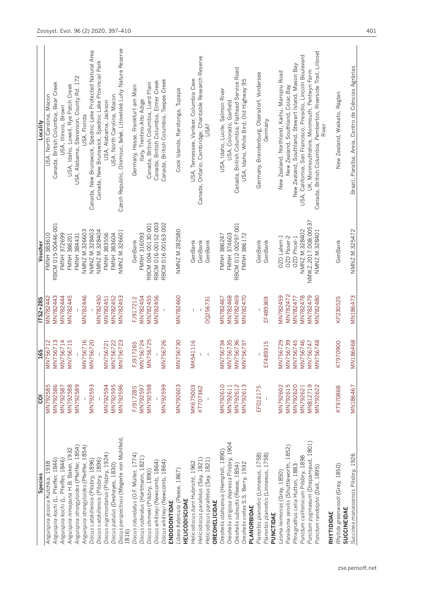| <b>Species</b>                                           | ē               | 165             | ITS2+28S        | Voucher              | Locality                                                                |
|----------------------------------------------------------|-----------------|-----------------|-----------------|----------------------|-------------------------------------------------------------------------|
| Anguispira jessica Kutchka, 1938                         | MN792585        | <b>MN756712</b> | MN782442        | <b>FMNH 383610</b>   | USA, North Carolina, Macon                                              |
| Anguispira kochi (L. Pfeiffer, 1846)                     | MN792586        | <b>IN756713</b> | MN782443        | RBCM 015-00446-001   | Canada, British Columbia, Bear Creek                                    |
| Anguispira kochi (L. Pfeiffer, 1846)                     | MN792587        | <b>AN756714</b> | MN782444        | <b>FMNH 372699</b>   | USA, Illinois, Brown                                                    |
| Anguispira nimapuna H.B. Baker, 1932                     | MN792588        | <b>AN756715</b> | MN782445        | <b>FMNH 386201</b>   | USA, Idaho, Lowell, Rye Patch Creek                                     |
| Anguispira strongyloides (Pfeiffer, 1854)                | <b>MN792589</b> |                 |                 | <b>FMNH 384431</b>   | USA, Alabama, Stevenson, County Rd. 172                                 |
| Anguispira strongyloides (Pfeiffer, 1854)                |                 | <b>AN756716</b> | MN782446        | NMNZ M.326603        | USA, Florida                                                            |
| Discus catskillensis (Pilsbry, 1896)                     | <b>MN792593</b> | <b>IN756720</b> |                 | NMNZ M.328403        | Canada, New Brunswick, Spednic Lake Protected Natural Area              |
| Discus catskillensis (Pilsbry, 1896)                     |                 |                 | MN782450        | NMNZ M.328404        | Canada, New Brunswick, Spednic Lake Provincial Park                     |
| Discus nigrimontanus (Pilsbry, 1924)                     | MN792594        | <b>ISC251</b>   | MN782451        | FMNH 383556          | USA, Alabama, Jackson                                                   |
| Discus patulus (Deshayes, 1830)                          | MN792595        | <b>IN756722</b> | MN782452        | FMNH 383604          | USA, North Carolina, Macon                                              |
| Discus perspectivus (Megerle von Mühlfeld<br>1816)       | <b>MN792596</b> | <b>IN756723</b> | MN782453        | NMNZ M.326601        | Czech Republic, Olomouc, Střeň, Litovelské Luhy Nature Reserve          |
| Discus rotundatus (O.F. Müller, 1774)                    | FJ917285        | FJ917265        | FJ917212        | GenBank              | Germany, Hesse, Frankfurt am Main                                       |
| Discus ruderatus (Hartmann, 1821)                        | MN792597        | MN756724        | MN782454        | <b>FMNH 316093</b>   | Italy, Trentino-Alto Adige                                              |
| Discus shimeki (Pilsbry, 1890)                           | <b>MN792598</b> | <b>MN756725</b> | MN782455        | RBCM 004-00130-001   | Canada, British Columbia, Liard Plain                                   |
| Discus whitneyi (Newcomb, 1864)                          |                 |                 | MN782456        | RBCM 016-00152-003   | Canada, British Columbia, Elmer Creek                                   |
| Discus whitneyi (Newcomb, 1864)<br>ENDODONTIDAE          | <b>MN792599</b> | MN756726        |                 | RBCM 016-00163-002   | Canada, British Columbia, Teepee Creek                                  |
| Libera fratercula (Pease, 1867)<br><b>HELICODISCIDAE</b> | MN792603        | MN756730        | MN782460        | NMNZ M.282580        | Cook Islands, Rarotonga, Tupapa                                         |
| Helicodiscus barri Hubricht, 1962                        | <b>MK675003</b> | MK541116        |                 | GenBank              | USA, Tennessee, Vanleer, Columbia Cave                                  |
| Helicodiscus parallelus (Say, 1821)                      | KT707362        |                 |                 | GenBank              | Canada, Ontario, Cambridge, Charitable Research Reserve                 |
| Helicodiscus parallelus (Say, 1821)                      |                 | $\,$ $\,$       | DQ256731        | GenBank              | USA?                                                                    |
| <b>OREOHELICIDAE</b>                                     |                 |                 |                 |                      |                                                                         |
| Oreohelix idahoensis (Hemphill, 1890)                    | MN792610        | MN756734        | MN782467        | FMNH 386247          | USA, Idaho, Lucile, Salmon River                                        |
| Oreohelix strigosa depressa Pilsbry, 1904                | MN792611        | <b>IN756735</b> | MN782468        | FMNH 374603          | USA, Colorado, Garfield                                                 |
| Oreohelix subrudis (Reeve, 1854)                         | MN792612        | <b>MN756736</b> | MN782469        | RBCM 012-00297-001   | Canada, British Columbia, Flathead Service Road                         |
| Oreohelix vortex S.S. Berry, 1932<br>PLANORBIDAE         | MN792613        | MN756737        | <b>MN782470</b> | FMNH 386172          | JSA, Idaho, White Bird, Old Highway 95                                  |
| Planorbis planorbis (Linnaeus, 1758)                     | EF012175        |                 |                 | GenBank              | Germany, Brandenburg, Obersdorf, Vordersee                              |
| Planorbis planorbis (Linnaeus, 1758)                     |                 | EF489315        | EF489369        | GenBank              | Germany                                                                 |
| PUNCTIDAE                                                |                 |                 |                 |                      |                                                                         |
| Laoma leimonias (Gray, 1850)                             | MN792602        | AN756729        | <b>MN782459</b> | OZD Lalem-1          | New Zealand, Northland, Kaihu, Maropiu Road                             |
| Paralaoma servilis (Shuttleworth, 1852)                  | MN792615        | AN756739        | MN782472        | OZD Paser-2          | New Zealand, Southland, Colac Bay                                       |
| Phrixgnathus celia Hutton, 1883                          | MN792620        | MN756745        | MN782477        | OZD Phcel-1          | New Zealand, Southland, Stewart Island, Mason Bay                       |
| Punctum californicum Pilsbry, 1898                       | MN792621        | <b>MN756746</b> | MN782478        | NMNZ M.328402        | USA, California, San Francisco, Presidio, Lincoln Boulevard             |
| Punctum pygmaeum (Draparnaud, 1801)                      | MN812719        | MN756747        | MN782479        | NMW.Z.2017.008.00537 | UK, Monmouthshire, Monmouth, Pentwyn Farm                               |
| Punctum randolphii (Dall, 1895)                          | <b>NN792622</b> | MN756748        | MN782480        | NMNZ M.328401        | Canada, British Columbia, Pemberton, Riverside Trail, Lillooet<br>River |
| RHYTIDIDAE                                               |                 |                 |                 |                      |                                                                         |
| Rhytida greenwoodi (Gray, 1850)<br>SUCCINEIDAE           | KT970868        | 0060/61>        | KP230525        | GenBank              | New Zealand, Waikato, Raglan                                            |
| Succinea manaosensis Pilsbry, 1926                       | MN186467        | MN186468        | MN186473        | NMNZ M.325472        | Brazil, Paraíba, Areia, Centro de Ciências Agrárias                     |
|                                                          |                 |                 |                 |                      |                                                                         |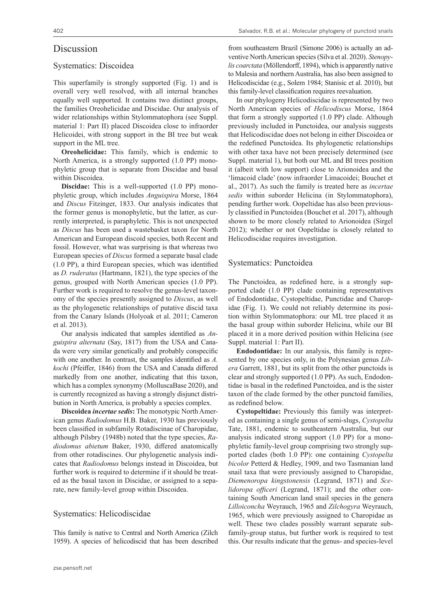# Discussion

### Systematics: Discoidea

This superfamily is strongly supported (Fig. 1) and is overall very well resolved, with all internal branches equally well supported. It contains two distinct groups, the families Oreohelicidae and Discidae. Our analysis of wider relationships within Stylommatophora (see Suppl. material 1: Part II) placed Discoidea close to infraorder Helicoidei, with strong support in the BI tree but weak support in the ML tree.

**Oreohelicidae:** This family, which is endemic to North America, is a strongly supported (1.0 PP) monophyletic group that is separate from Discidae and basal within Discoidea.

**Discidae:** This is a well-supported (1.0 PP) monophyletic group, which includes *Anguispira* Morse, 1864 and *Discus* Fitzinger, 1833. Our analysis indicates that the former genus is monophyletic, but the latter, as currently interpreted, is paraphyletic. This is not unexpected as *Discus* has been used a wastebasket taxon for North American and European discoid species, both Recent and fossil. However, what was surprising is that whereas two European species of *Discus* formed a separate basal clade (1.0 PP), a third European species, which was identified as *D. ruderatus* (Hartmann, 1821), the type species of the genus, grouped with North American species (1.0 PP). Further work is required to resolve the genus-level taxonomy of the species presently assigned to *Discus*, as well as the phylogenetic relationships of putative discid taxa from the Canary Islands (Holyoak et al. 2011; Cameron et al. 2013).

Our analysis indicated that samples identified as *Anguispira alternata* (Say, 1817) from the USA and Canada were very similar genetically and probably conspecific with one another. In contrast, the samples identified as *A. kochi* (Pfeiffer, 1846) from the USA and Canada differed markedly from one another, indicating that this taxon, which has a complex synonymy (MolluscaBase 2020), and is currently recognized as having a strongly disjunct distribution in North America, is probably a species complex.

**Discoidea** *incertae sedis***:** The monotypic North American genus *Radiodomus* H.B. Baker, 1930 has previously been classified in subfamily Rotadiscinae of Charopidae, although Pilsbry (1948b) noted that the type species, *Radiodomus abietum* Baker, 1930, differed anatomically from other rotadiscines. Our phylogenetic analysis indicates that *Radiodomus* belongs instead in Discoidea, but further work is required to determine if it should be treated as the basal taxon in Discidae, or assigned to a separate, new family-level group within Discoidea.

#### Systematics: Helicodiscidae

This family is native to Central and North America (Zilch 1959). A species of helicodiscid that has been described

from southeastern Brazil (Simone 2006) is actually an adventive North American species (Silva et al. 2020). *Stenopylis coarctata* (Möllendorff, 1894), which is apparently native to Malesia and northern Australia, has also been assigned to Helicodiscidae (e.g., Solem 1984; Stanisic et al. 2010), but this family-level classification requires reevaluation.

In our phylogeny Helicodiscidae is represented by two North American species of *Helicodiscus* Morse, 1864 that form a strongly supported (1.0 PP) clade. Although previously included in Punctoidea, our analysis suggests that Helicodiscidae does not belong in either Discoidea or the redefined Punctoidea. Its phylogenetic relationships with other taxa have not been precisely determined (see Suppl. material 1), but both our ML and BI trees position it (albeit with low support) close to Arionoidea and the 'limacoid clade' (now infraorder Limacoidei; Bouchet et al., 2017). As such the family is treated here as *incertae sedis* within suborder Helicina (in Stylommatophora), pending further work. Oopeltidae has also been previously classified in Punctoidea (Bouchet et al. 2017), although shown to be more closely related to Arionoidea (Sirgel 2012); whether or not Oopeltidae is closely related to Helicodiscidae requires investigation.

#### Systematics: Punctoidea

The Punctoidea, as redefined here, is a strongly supported clade (1.0 PP) clade containing representatives of Endodontidae, Cystopeltidae, Punctidae and Charopidae (Fig. 1). We could not reliably determine its position within Stylommatophora: our ML tree placed it as the basal group within suborder Helicina, while our BI placed it in a more derived position within Helicina (see Suppl. material 1: Part II).

**Endodontidae:** In our analysis, this family is represented by one species only, in the Polynesian genus *Libera* Garrett, 1881, but its split from the other punctoids is clear and strongly supported (1.0 PP). As such, Endodontidae is basal in the redefined Punctoidea, and is the sister taxon of the clade formed by the other punctoid families, as redefined below.

**Cystopeltidae:** Previously this family was interpreted as containing a single genus of semi-slugs, *Cystopelta*  Tate, 1881, endemic to southeastern Australia, but our analysis indicated strong support (1.0 PP) for a monophyletic family-level group comprising two strongly supported clades (both 1.0 PP): one containing *Cystopelta bicolor* Petterd & Hedley, 1909, and two Tasmanian land snail taxa that were previously assigned to Charopidae, *Diemenoropa kingstonensis* (Legrand, 1871) and *Scelidoropa officeri* (Legrand, 1871); and the other containing South American land snail species in the genera *Lilloiconcha* Weyrauch, 1965 and *Zilchogyra* Weyrauch, 1965, which were previously assigned to Charopidae as well. These two clades possibly warrant separate subfamily-group status, but further work is required to test this. Our results indicate that the genus- and species-level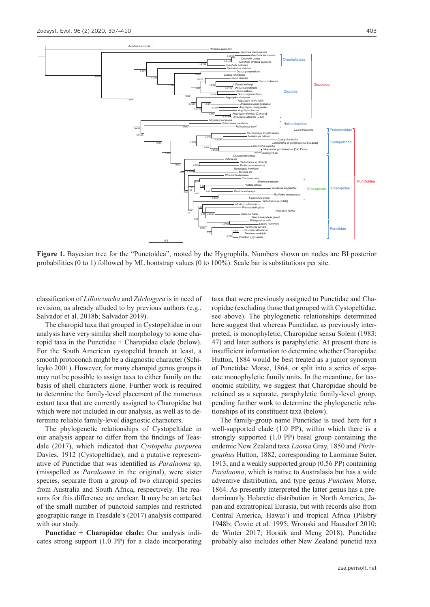

**Figure 1.** Bayesian tree for the "Punctoidea", rooted by the Hygrophila. Numbers shown on nodes are BI posterior probabilities (0 to 1) followed by ML bootstrap values (0 to 100%). Scale bar is substitutions per site.

classification of *Lilloiconcha* and *Zilchogyra* is in need of revision, as already alluded to by previous authors (e.g., Salvador et al. 2018b; Salvador 2019).

The charopid taxa that grouped in Cystopeltidae in our analysis have very similar shell morphology to some charopid taxa in the Punctidae + Charopidae clade (below). For the South American cystopeltid branch at least, a smooth protoconch might be a diagnostic character (Schileyko 2001). However, for many charopid genus groups it may not be possible to assign taxa to either family on the basis of shell characters alone. Further work is required to determine the family-level placement of the numerous extant taxa that are currently assigned to Charopidae but which were not included in our analysis, as well as to determine reliable family-level diagnostic characters.

The phylogenetic relationships of Cystopeltidae in our analysis appear to differ from the findings of Teasdale (2017), which indicated that *Cystopelta purpurea* Davies, 1912 (Cystopeltidae), and a putative representative of Punctidae that was identified as *Paralaoma* sp. (misspelled as *Paraloama* in the original), were sister species, separate from a group of two charopid species from Australia and South Africa, respectively. The reasons for this difference are unclear. It may be an artefact of the small number of punctoid samples and restricted geographic range in Teasdale's (2017) analysis compared with our study.

**Punctidae + Charopidae clade:** Our analysis indicates strong support (1.0 PP) for a clade incorporating

taxa that were previously assigned to Punctidae and Charopidae (excluding those that grouped with Cystopeltidae, see above). The phylogenetic relationships determined here suggest that whereas Punctidae, as previously interpreted, is monophyletic, Charopidae sensu Solem (1983: 47) and later authors is paraphyletic. At present there is insufficient information to determine whether Charopidae Hutton, 1884 would be best treated as a junior synonym of Punctidae Morse, 1864, or split into a series of separate monophyletic family units. In the meantime, for taxonomic stability, we suggest that Charopidae should be retained as a separate, paraphyletic family-level group, pending further work to determine the phylogenetic relationships of its constituent taxa (below).

The family-group name Punctidae is used here for a well-supported clade (1.0 PP), within which there is a strongly supported (1.0 PP) basal group containing the endemic New Zealand taxa *Laoma* Gray, 1850 and *Phrixgnathus* Hutton, 1882, corresponding to Laominae Suter, 1913, and a weakly supported group (0.56 PP) containing *Paralaoma*, which is native to Australasia but has a wide adventive distribution, and type genus *Punctum* Morse, 1864. As presently interpreted the latter genus has a predominantly Holarctic distribution in North America, Japan and extratropical Eurasia, but with records also from Central America, Hawai'i and tropical Africa (Pilsbry 1948b; Cowie et al. 1995; Wronski and Hausdorf 2010; de Winter 2017; Horsák and Meng 2018). Punctidae probably also includes other New Zealand punctid taxa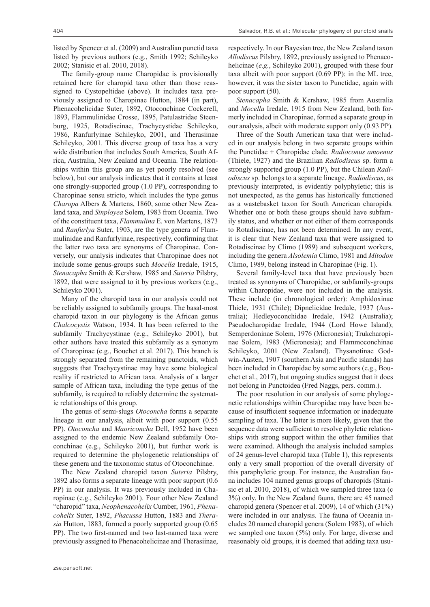listed by Spencer et al. (2009) and Australian punctid taxa listed by previous authors (e.g., Smith 1992; Schileyko 2002; Stanisic et al. 2010, 2018).

The family-group name Charopidae is provisionally retained here for charopid taxa other than those reassigned to Cystopeltidae (above). It includes taxa previously assigned to Charopinae Hutton, 1884 (in part), Phenacohelicidae Suter, 1892, Otoconchinae Cockerell, 1893, Flammulinidae Crosse, 1895, Patulastridae Steenburg, 1925, Rotadiscinae, Trachycystidae Schileyko, 1986, Ranfurlyinae Schileyko, 2001, and Therasiinae Schileyko, 2001. This diverse group of taxa has a very wide distribution that includes South America, South Africa, Australia, New Zealand and Oceania. The relationships within this group are as yet poorly resolved (see below), but our analysis indicates that it contains at least one strongly-supported group (1.0 PP), corresponding to Charopinae sensu stricto, which includes the type genus *Charopa* Albers & Martens, 1860, some other New Zealand taxa, and *Sinployea* Solem, 1983 from Oceania. Two of the constituent taxa, *Flammulina* E. von Martens, 1873 and *Ranfurlya* Suter, 1903, are the type genera of Flammulinidae and Ranfurlyinae, respectively, confirming that the latter two taxa are synonyms of Charopinae. Conversely, our analysis indicates that Charopinae does not include some genus-groups such *Mocella* Iredale, 1915, *Stenacapha* Smith & Kershaw, 1985 and *Suteria* Pilsbry, 1892, that were assigned to it by previous workers (e.g., Schileyko 2001).

Many of the charopid taxa in our analysis could not be reliably assigned to subfamily groups. The basal-most charopid taxon in our phylogeny is the African genus *Chalcocystis* Watson, 1934. It has been referred to the subfamily Trachycystinae (e.g., Schileyko 2001), but other authors have treated this subfamily as a synonym of Charopinae (e.g., Bouchet et al. 2017). This branch is strongly separated from the remaining punctoids, which suggests that Trachycystinae may have some biological reality if restricted to African taxa. Analysis of a larger sample of African taxa, including the type genus of the subfamily, is required to reliably determine the systematic relationships of this group.

The genus of semi-slugs *Otoconcha* forms a separate lineage in our analysis, albeit with poor support (0.55 PP). *Otoconcha* and *Maoriconcha* Dell, 1952 have been assigned to the endemic New Zealand subfamily Otoconchinae (e.g., Schileyko 2001), but further work is required to determine the phylogenetic relationships of these genera and the taxonomic status of Otoconchinae.

The New Zealand charopid taxon *Suteria* Pilsbry, 1892 also forms a separate lineage with poor support (0.6 PP) in our analysis. It was previously included in Charopinae (e.g., Schileyko 2001). Four other New Zealand "charopid" taxa, *Neophenacohelix* Cumber, 1961, *Phenacohelix* Suter, 1892, *Phacussa* Hutton, 1883 and *Therasia* Hutton, 1883, formed a poorly supported group (0.65 PP). The two first-named and two last-named taxa were previously assigned to Phenacohelicinae and Therasiinae,

respectively. In our Bayesian tree, the New Zealand taxon *Allodiscus* Pilsbry, 1892, previously assigned to Phenacohelicinae (*e.g.*, Schileyko 2001), grouped with these four taxa albeit with poor support (0.69 PP); in the ML tree, however, it was the sister taxon to Punctidae, again with poor support (50).

*Stenacapha* Smith & Kershaw, 1985 from Australia and *Mocella* Iredale, 1915 from New Zealand, both formerly included in Charopinae, formed a separate group in our analysis, albeit with moderate support only (0.93 PP).

Three of the South American taxa that were included in our analysis belong in two separate groups within the Punctidae + Charopidae clade. *Radioconus amoenus* (Thiele, 1927) and the Brazilian *Radiodiscus* sp. form a strongly supported group (1.0 PP), but the Chilean *Radiodiscus* sp. belongs to a separate lineage. *Radiodiscus*, as previously interpreted, is evidently polyphyletic; this is not unexpected, as the genus has historically functioned as a wastebasket taxon for South American charopids. Whether one or both these groups should have subfamily status, and whether or not either of them corresponds to Rotadiscinae, has not been determined. In any event, it is clear that New Zealand taxa that were assigned to Rotadiscinae by Climo (1989) and subsequent workers, including the genera *Alsolemia* Climo, 1981 and *Mitodon* Climo, 1989, belong instead in Charopinae (Fig. 1).

Several family-level taxa that have previously been treated as synonyms of Charopidae, or subfamily-groups within Charopidae, were not included in the analysis. These include (in chronological order): Amphidoxinae Thiele, 1931 (Chile); Dipnelicidae Iredale, 1937 (Australia); Hedleyoconchidae Iredale, 1942 (Australia); Pseudocharopidae Iredale, 1944 (Lord Howe Island); Semperdoninae Solem, 1976 (Micronesia); Trukcharopinae Solem, 1983 (Micronesia); and Flammoconchinae Schileyko, 2001 (New Zealand). Thysanotinae Godwin-Austen, 1907 (southern Asia and Pacific islands) has been included in Charopidae by some authors (e.g., Bouchet et al., 2017), but ongoing studies suggest that it does not belong in Punctoidea (Fred Naggs, pers. comm.).

The poor resolution in our analysis of some phylogenetic relationships within Charopidae may have been because of insufficient sequence information or inadequate sampling of taxa. The latter is more likely, given that the sequence data were sufficient to resolve phyletic relationships with strong support within the other families that were examined. Although the analysis included samples of 24 genus-level charopid taxa (Table 1), this represents only a very small proportion of the overall diversity of this paraphyletic group. For instance, the Australian fauna includes 104 named genus groups of charopids (Stanisic et al. 2010, 2018), of which we sampled three taxa (c 3%) only. In the New Zealand fauna, there are 45 named charopid genera (Spencer et al. 2009), 14 of which (31%) were included in our analysis. The fauna of Oceania includes 20 named charopid genera (Solem 1983), of which we sampled one taxon (5%) only. For large, diverse and reasonably old groups, it is deemed that adding taxa usu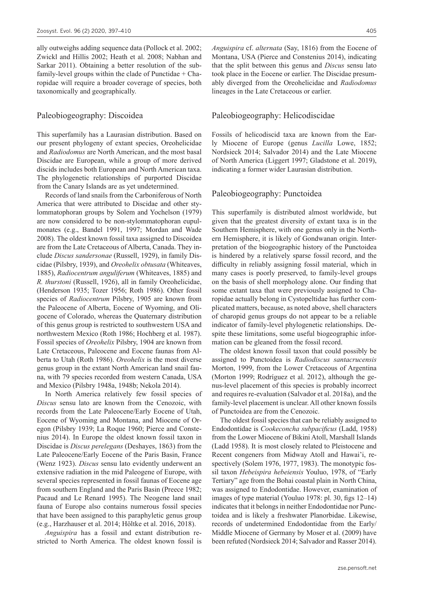ally outweighs adding sequence data (Pollock et al. 2002; Zwickl and Hillis 2002; Heath et al. 2008; Nabhan and Sarkar 2011). Obtaining a better resolution of the subfamily-level groups within the clade of Punctidae + Charopidae will require a broader coverage of species, both taxonomically and geographically.

### Paleobiogeography: Discoidea

This superfamily has a Laurasian distribution. Based on our present phylogeny of extant species, Oreohelicidae and *Radiodomus* are North American, and the most basal Discidae are European, while a group of more derived discids includes both European and North American taxa. The phylogenetic relationships of purported Discidae from the Canary Islands are as yet undetermined.

Records of land snails from the Carboniferous of North America that were attributed to Discidae and other stylommatophoran groups by Solem and Yochelson (1979) are now considered to be non-stylommatophoran eupulmonates (e.g., Bandel 1991, 1997; Mordan and Wade 2008). The oldest known fossil taxa assigned to Discoidea are from the Late Cretaceous of Alberta, Canada. They include *Discus sandersonae* (Russell, 1929), in family Discidae (Pilsbry, 1939), and *Oreohelix obtusata* (Whiteaves, 1885), *Radiocentrum anguliferum* (Whiteaves, 1885) and *R. thurstoni* (Russell, 1926), all in family Oreohelicidae, (Henderson 1935; Tozer 1956; Roth 1986). Other fossil species of *Radiocentrum* Pilsbry, 1905 are known from the Paleocene of Alberta, Eocene of Wyoming, and Oligocene of Colorado, whereas the Quaternary distribution of this genus group is restricted to southwestern USA and northwestern Mexico (Roth 1986; Hochberg et al. 1987). Fossil species of *Oreohelix* Pilsbry, 1904 are known from Late Cretaceous, Paleocene and Eocene faunas from Alberta to Utah (Roth 1986). *Oreohelix* is the most diverse genus group in the extant North American land snail fauna, with 79 species recorded from western Canada, USA and Mexico (Pilsbry 1948a, 1948b; Nekola 2014).

In North America relatively few fossil species of *Discus* sensu lato are known from the Cenozoic, with records from the Late Paleocene/Early Eocene of Utah, Eocene of Wyoming and Montana, and Miocene of Oregon (Pilsbry 1939; La Roque 1960; Pierce and Constenius 2014). In Europe the oldest known fossil taxon in Discidae is *Discus perelegans* (Deshayes, 1863) from the Late Paleocene/Early Eocene of the Paris Basin, France (Wenz 1923). *Discus* sensu lato evidently underwent an extensive radiation in the mid Paleogene of Europe, with several species represented in fossil faunas of Eocene age from southern England and the Paris Basin (Preece 1982; Pacaud and Le Renard 1995). The Neogene land snail fauna of Europe also contains numerous fossil species that have been assigned to this paraphyletic genus group (e.g., Harzhauser et al. 2014; Höltke et al. 2016, 2018).

*Anguispira* has a fossil and extant distribution restricted to North America. The oldest known fossil is *Anguispira* cf. *alternata* (Say, 1816) from the Eocene of Montana, USA (Pierce and Constenius 2014), indicating that the split between this genus and *Discus* sensu lato took place in the Eocene or earlier. The Discidae presumably diverged from the Oreohelicidae and *Radiodomus* lineages in the Late Cretaceous or earlier.

### Paleobiogeography: Helicodiscidae

Fossils of helicodiscid taxa are known from the Early Miocene of Europe (genus *Lucilla* Lowe, 1852; Nordsieck 2014; Salvador 2014) and the Late Miocene of North America (Liggert 1997; Gladstone et al. 2019), indicating a former wider Laurasian distribution.

#### Paleobiogeography: Punctoidea

This superfamily is distributed almost worldwide, but given that the greatest diversity of extant taxa is in the Southern Hemisphere, with one genus only in the Northern Hemisphere, it is likely of Gondwanan origin. Interpretation of the biogeographic history of the Punctoidea is hindered by a relatively sparse fossil record, and the difficulty in reliably assigning fossil material, which in many cases is poorly preserved, to family-level groups on the basis of shell morphology alone. Our finding that some extant taxa that were previously assigned to Charopidae actually belong in Cystopeltidae has further complicated matters, because, as noted above, shell characters of charopid genus groups do not appear to be a reliable indicator of family-level phylogenetic relationships. Despite these limitations, some useful biogeographic information can be gleaned from the fossil record.

The oldest known fossil taxon that could possibly be assigned to Punctoidea is *Radiodiscus santacrucensis* Morton, 1999, from the Lower Cretaceous of Argentina (Morton 1999; Rodríguez et al. 2012), although the genus-level placement of this species is probably incorrect and requires re-evaluation (Salvador et al. 2018a), and the family-level placement is unclear. All other known fossils of Punctoidea are from the Cenozoic.

The oldest fossil species that can be reliably assigned to Endodontidae is *Cookeconcha subpacificus* (Ladd, 1958) from the Lower Miocene of Bikini Atoll, Marshall Islands (Ladd 1958). It is most closely related to Pleistocene and Recent congeners from Midway Atoll and Hawai'i, respectively (Solem 1976, 1977, 1983). The monotypic fossil taxon *Hebeispira hebeiensis* Youluo, 1978, of "Early Tertiary" age from the Bohai coastal plain in North China, was assigned to Endodontidae. However, examination of images of type material (Youluo 1978: pl. 30, figs 12–14) indicates that it belongs in neither Endodontidae nor Punctoidea and is likely a freshwater Planorbidae. Likewise, records of undetermined Endodontidae from the Early/ Middle Miocene of Germany by Moser et al. (2009) have been refuted (Nordsieck 2014; Salvador and Rasser 2014).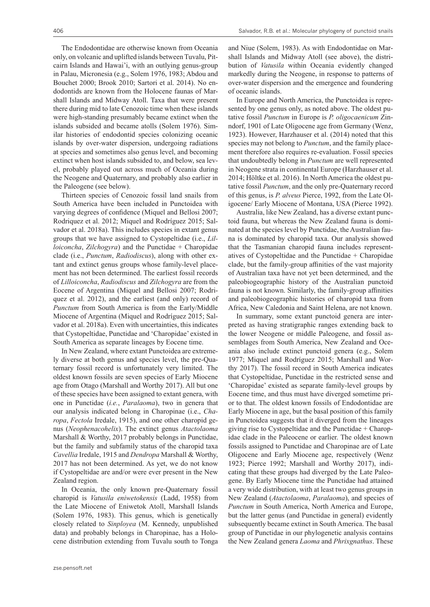The Endodontidae are otherwise known from Oceania only, on volcanic and uplifted islands between Tuvalu, Pitcairn Islands and Hawai'i, with an outlying genus-group in Palau, Micronesia (e.g., Solem 1976, 1983; Abdou and Bouchet 2000; Brook 2010; Sartori et al. 2014). No endodontids are known from the Holocene faunas of Marshall Islands and Midway Atoll. Taxa that were present there during mid to late Cenozoic time when these islands were high-standing presumably became extinct when the islands subsided and became atolls (Solem 1976). Similar histories of endodontid species colonizing oceanic islands by over-water dispersion, undergoing radiations at species and sometimes also genus level, and becoming extinct when host islands subsided to, and below, sea level, probably played out across much of Oceania during the Neogene and Quaternary, and probably also earlier in the Paleogene (see below).

Thirteen species of Cenozoic fossil land snails from South America have been included in Punctoidea with varying degrees of confidence (Miquel and Bellosi 2007; Rodriquez et al. 2012; Miquel and Rodríguez 2015; Salvador et al. 2018a). This includes species in extant genus groups that we have assigned to Cystopeltidae (i.e., *Lilloiconcha*, *Zilchogyra*) and the Punctidae + Charopidae clade (i.e., *Punctum*, *Radiodiscus*), along with other extant and extinct genus groups whose family-level placement has not been determined. The earliest fossil records of *Lilloiconcha*, *Radiodiscus* and *Zilchogyra* are from the Eocene of Argentina (Miquel and Bellosi 2007; Rodriquez et al. 2012), and the earliest (and only) record of *Punctum* from South America is from the Early/Middle Miocene of Argentina (Miquel and Rodríguez 2015; Salvador et al. 2018a). Even with uncertainties, this indicates that Cystopeltidae, Punctidae and 'Charopidae' existed in South America as separate lineages by Eocene time.

In New Zealand, where extant Punctoidea are extremely diverse at both genus and species level, the pre-Quaternary fossil record is unfortunately very limited. The oldest known fossils are seven species of Early Miocene age from Otago (Marshall and Worthy 2017). All but one of these species have been assigned to extant genera, with one in Punctidae (*i.e.*, *Paralaoma*), two in genera that our analysis indicated belong in Charopinae (i.e., *Charopa*, *Fectola* Iredale, 1915), and one other charopid genus (*Neophenacohelix*). The extinct genus *Atactolaoma* Marshall & Worthy, 2017 probably belongs in Punctidae, but the family and subfamily status of the charopid taxa *Cavellia* Iredale, 1915 and *Dendropa* Marshall & Worthy, 2017 has not been determined. As yet, we do not know if Cystopeltidae are and/or were ever present in the New Zealand region.

In Oceania, the only known pre-Quaternary fossil charopid is *Vatusila eniwetokensis* (Ladd, 1958) from the Late Miocene of Eniwetok Atoll, Marshall Islands (Solem 1976, 1983). This genus, which is genetically closely related to *Sinployea* (M. Kennedy, unpublished data) and probably belongs in Charopinae, has a Holocene distribution extending from Tuvalu south to Tonga

and Niue (Solem, 1983). As with Endodontidae on Marshall Islands and Midway Atoll (see above), the distribution of *Vatusila* within Oceania evidently changed markedly during the Neogene, in response to patterns of over-water dispersion and the emergence and foundering of oceanic islands.

In Europe and North America, the Punctoidea is represented by one genus only, as noted above. The oldest putative fossil *Punctum* in Europe is *P. oligocaenicum* Zinndorf, 1901 of Late Oligocene age from Germany (Wenz, 1923). However, Harzhauser et al. (2014) noted that this species may not belong to *Punctum*, and the family placement therefore also requires re-evaluation. Fossil species that undoubtedly belong in *Punctum* are well represented in Neogene strata in continental Europe (Harzhauser et al. 2014; Höltke et al. 2016). In North America the oldest putative fossil *Punctum*, and the only pre-Quaternary record of this genus, is *P. alveus* Pierce, 1992, from the Late Oligocene/ Early Miocene of Montana, USA (Pierce 1992).

Australia, like New Zealand, has a diverse extant punctoid fauna, but whereas the New Zealand fauna is dominated at the species level by Punctidae, the Australian fauna is dominated by charopid taxa. Our analysis showed that the Tasmanian charopid fauna includes representatives of Cystopeltidae and the Punctidae + Charopidae clade, but the family-group affinities of the vast majority of Australian taxa have not yet been determined, and the paleobiogeographic history of the Australian punctoid fauna is not known. Similarly, the family-group affinities and paleobiogeographic histories of charopid taxa from Africa, New Caledonia and Saint Helena, are not known.

In summary, some extant punctoid genera are interpreted as having stratigraphic ranges extending back to the lower Neogene or middle Paleogene, and fossil assemblages from South America, New Zealand and Oceania also include extinct punctoid genera (e.g., Solem 1977; Miquel and Rodríguez 2015; Marshall and Worthy 2017). The fossil record in South America indicates that Cystopeltidae, Punctidae in the restricted sense and 'Charopidae' existed as separate family-level groups by Eocene time, and thus must have diverged sometime prior to that. The oldest known fossils of Endodontidae are Early Miocene in age, but the basal position of this family in Punctoidea suggests that it diverged from the lineages giving rise to Cystopeltidae and the Punctidae + Charopidae clade in the Paleocene or earlier. The oldest known fossils assigned to Punctidae and Charopinae are of Late Oligocene and Early Miocene age, respectively (Wenz 1923; Pierce 1992; Marshall and Worthy 2017), indicating that these groups had diverged by the Late Paleogene. By Early Miocene time the Punctidae had attained a very wide distribution, with at least two genus groups in New Zealand (*Atactolaoma*, *Paralaoma*), and species of *Punctum* in South America, North America and Europe, but the latter genus (and Punctidae in general) evidently subsequently became extinct in South America. The basal group of Punctidae in our phylogenetic analysis contains the New Zealand genera *Laoma* and *Phrixgnathus*. These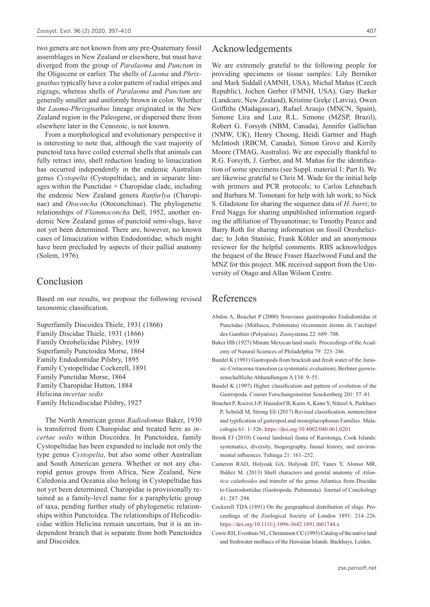two genera are not known from any pre-Quaternary fossil assemblages in New Zealand or elsewhere, but must have diverged from the group of *Paralaoma* and *Punctum* in the Oligocene or earlier. The shells of *Laoma* and *Phrixgnathus* typically have a color pattern of radial stripes and zigzags, whereas shells of *Paralaoma* and *Punctum* are generally smaller and uniformly brown in color. Whether the *Laoma*-*Phrixgnathus* lineage originated in the New Zealand region in the Paleogene, or dispersed there from elsewhere later in the Cenozoic, is not known.

From a morphological and evolutionary perspective it is interesting to note that, although the vast majority of punctoid taxa have coiled external shells that animals can fully retract into, shell reduction leading to limacization has occurred independently in the endemic Australian genus *Cystopelta* (Cystopeltidae), and in separate lineages within the Punctidae  $+$  Charopidae clade, including the endemic New Zealand genera *Ranfurlya* (Charopinae) and *Otoconcha* (Otoconchinae). The phylogenetic relationships of *Flammoconcha* Dell, 1952, another endemic New Zealand genus of punctoid semi-slugs, have not yet been determined. There are, however, no known cases of limacization within Endodontidae, which might have been precluded by aspects of their pallial anatomy (Solem, 1976).

# Conclusion

Based on our results, we propose the following revised taxonomic classification.

Superfamily Discoidea Thiele, 1931 (1866) Family Discidae Thiele, 1931 (1866) Family Oreohelicidae Pilsbry, 1939 Superfamily Punctoidea Morse, 1864 Family Endodontidae Pilsbry, 1895 Family Cystopeltidae Cockerell, 1891 Family Punctidae Morse, 1864 Family Charopidae Hutton, 1884 Helicina *incertae sedis* Family Helicodiscidae Pilsbry, 1927

The North American genus *Radiodomus* Baker, 1930 is transferred from Charopidae and treated here as *incertae sedis* within Discoidea. In Punctoidea, family Cystopeltidae has been expanded to include not only the type genus *Cystopelta*, but also some other Australian and South American genera. Whether or not any charopid genus groups from Africa, New Zealand, New Caledonia and Oceania also belong in Cystopeltidae has not yet been determined. Charopidae is provisionally retained as a family-level name for a paraphyletic group of taxa, pending further study of phylogenetic relationships within Punctoidea. The relationships of Helicodiscidae within Helicina remain uncertain, but it is an independent branch that is separate from both Punctoidea and Discoidea.

### Acknowledgements

We are extremely grateful to the following people for providing specimens or tissue samples: Lily Berniker and Mark Siddall (AMNH, USA), Michal Maňas (Czech Republic), Jochen Gerber (FMNH, USA), Gary Barker (Landcare, New Zealand), Kristine Greķe (Latvia), Owen Griffiths (Madagascar), Rafael Araujo (MNCN, Spain), Simone Lira and Luiz R.L. Simone (MZSP, Brazil), Robert G. Forsyth (NBM, Canada), Jennifer Gallichan (NMW, UK), Henry Choong, Heidi Gartner and Hugh McIntosh (RBCM, Canada), Simon Grove and Kirrily Moore (TMAG, Australia). We are especially thankful to R.G. Forsyth, J. Gerber, and M. Maňas for the identification of some specimens (see Suppl. material 1: Part I). We are likewise grateful to Chris M. Wade for the initial help with primers and PCR protocols; to Carlos Lehnebach and Barbara M. Tomotani for help with lab work; to Nick S. Gladstone for sharing the sequence data of *H. barri*; to Fred Naggs for sharing unpublished information regarding the affiliation of Thysanotinae; to Timothy Pearce and Barry Roth for sharing information on fossil Oreohelicidae; to John Stanisic, Frank Köhler and an anonymous reviewer for the helpful comments. RBS acknowledges the bequest of the Bruce Fraser Hazelwood Fund and the MNZ for this project. MK received support from the University of Otago and Allan Wilson Centre.

# References

- Abdou A, Bouchet P (2000) Nouveaux gastéropodes Endodontidae et Punctidae (Mollusca, Pulmonata) récemment éteints de l'archipel des Gambier (Polynésie). Zoosystema 22: 689–708.
- Baker HB (1927) Minute Mexican land snails. Proceedings of the Academy of Natural Sciences of Philadelphia 79: 223–246.
- Bandel K (1991) Gastropods from brackish and fresh water of the Jurassic-Cretaceous transition (a systematic evaluation). Berliner geowissenschaftliche Abhandlungen A 134: 9–55.
- Bandel K (1997) Higher classification and pattern of evolution of the Gastropoda. Courier Forschungsinstitut Senckenberg 201: 57–81.
- Bouchet P, Rocroi J-P, Hausdorf B, Kaim A, Kano Y, Nützel A, Parkhaev P, Schrödl M, Strong EE (2017) Revised classification, nomenclator and typification of gastropod and monoplacophoran Families. Malacologia 61: 1–526. <https://doi.org/10.4002/040.061.0201>
- Brook FJ (2010) Coastal landsnail fauna of Rarotonga, Cook Islands: systematics, diversity, biogeography, faunal history, and environmental influences. Tuhinga 21: 161–252.
- Cameron RAD, Holyoak GA, Holyoak DT, Yanes Y, Alonso MR, Ibáñez M. (2013) Shell characters and genital anatomy of *Atlantica calathoides* and transfer of the genus Atlantica from Discidae to Gastrodontidae (Gastropoda: Pulmonata). Journal of Conchology 41: 287–294.
- Cockerell TDA (1891) On the geographical distribution of slugs. Proceedings of the Zoological Society of London 1891: 214–226. <https://doi.org/10.1111/j.1096-3642.1891.tb01744.x>
- Cowie RH, Evenhuis NL, Christensen CC (1995) Catalog of the native land and freshwater molluscs of the Hawaiian Islands. Backhuys, Leiden.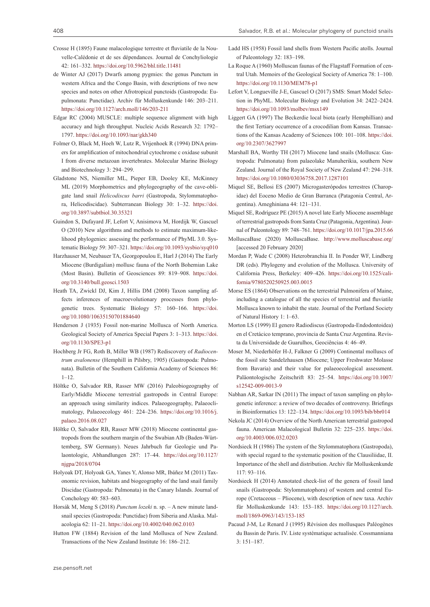- Crosse H (1895) Faune malacologique terrestre et fluviatile de la Nouvelle-Calédonie et de ses dépendances. Journal de Conchyliologie 42: 161–332. <https://doi.org/10.5962/bhl.title.11481>
- de Winter AJ (2017) Dwarfs among pygmies: the genus Punctum in western Africa and the Congo Basin, with descriptions of two new species and notes on other Afrotropical punctoids (Gastropoda: Eupulmonata: Punctidae). Archiv für Molluskenkunde 146: 203–211. <https://doi.org/10.1127/arch.moll/146/203-211>
- Edgar RC (2004) MUSCLE: multiple sequence alignment with high accuracy and high throughput. Nucleic Acids Research 32: 1792– 1797.<https://doi.org/10.1093/nar/gkh340>
- Folmer O, Black M, Hoeh W, Lutz R, Vrijenhoek R (1994) DNA primers for amplification of mitochondrial cytochrome c oxidase subunit I from diverse metazoan invertebrates. Molecular Marine Biology and Biotechnology 3: 294–299.
- Gladstone NS, Niemiller ML, Pieper EB, Dooley KE, McKinney ML (2019) Morphometrics and phylogeography of the cave-obligate land snail *Helicodiscus barri* (Gastropoda, Stylommatophora, Helicodiscidae). Subterranean Biology 30: 1–32. [https://doi.](https://doi.org/10.3897/subtbiol.30.35321) [org/10.3897/subtbiol.30.35321](https://doi.org/10.3897/subtbiol.30.35321)
- Guindon S, Dufayard JF, Lefort V, Anisimova M, Hordijk W, Gascuel O (2010) New algorithms and methods to estimate maximum-likelihood phylogenies: assessing the performance of PhyML 3.0. Systematic Biology 59: 307–321. <https://doi.org/10.1093/sysbio/syq010>
- Harzhauser M, Neubauer TA, Georgopoulou E, Harl J (2014) The Early Miocene (Burdigalian) mollusc fauna of the North Bohemian Lake (Most Basin). Bulletin of Geosciences 89: 819–908. [https://doi.](https://doi.org/10.3140/bull.geosci.1503) [org/10.3140/bull.geosci.1503](https://doi.org/10.3140/bull.geosci.1503)
- Heath TA, Zwickl DJ, Kim J, Hillis DM (2008) Taxon sampling affects inferences of macroevolutionary processes from phylogenetic trees. Systematic Biology 57: 160–166. [https://doi.](https://doi.org/10.1080/10635150701884640) [org/10.1080/10635150701884640](https://doi.org/10.1080/10635150701884640)
- Henderson J (1935) Fossil non-marine Mollusca of North America. Geological Society of America Special Papers 3: 1–313. [https://doi.](https://doi.org/10.1130/SPE3-p1) [org/10.1130/SPE3-p1](https://doi.org/10.1130/SPE3-p1)
- Hochberg Jr FG, Roth B, Miller WB (1987) Rediscovery of *Radiocentrum avalonense* (Hemphill in Pilsbry, 1905) (Gastropoda: Pulmonata). Bulletin of the Southern California Academy of Sciences 86:  $1 - 12$ .
- Höltke O, Salvador RB, Rasser MW (2016) Paleobiogeography of Early/Middle Miocene terrestrial gastropods in Central Europe: an approach using similarity indices. Palaeogeography, Palaeoclimatology, Palaeoecology 461: 224–236. [https://doi.org/10.1016/j.](https://doi.org/10.1016/j.palaeo.2016.08.027) [palaeo.2016.08.027](https://doi.org/10.1016/j.palaeo.2016.08.027)
- Höltke O, Salvador RB, Rasser MW (2018) Miocene continental gastropods from the southern margin of the Swabian Alb (Baden-Württemberg, SW Germany). Neues Jahrbuch fur Geologie und Palaontologie, Abhandlungen 287: 17–44. [https://doi.org/10.1127/](https://doi.org/10.1127/njgpa/2018/0704) [njgpa/2018/0704](https://doi.org/10.1127/njgpa/2018/0704)
- Holyoak DT, Holyoak GA, Yanes Y, Alonso MR, Ibáñez M (2011) Taxonomic revision, habitats and biogeography of the land snail family Discidae (Gastropoda: Pulmonata) in the Canary Islands. Journal of Conchology 40: 583–603.
- Horsák M, Meng S (2018) *Punctum lozeki* n. sp. A new minute landsnail species (Gastropoda: Punctidae) from Siberia and Alaska. Malacologia 62: 11–21. <https://doi.org/10.4002/040.062.0103>
- Hutton FW (1884) Revision of the land Mollusca of New Zealand. Transactions of the New Zealand Institute 16: 186–212.
- Ladd HS (1958) Fossil land shells from Western Pacific atolls. Journal of Paleontology 32: 183–198.
- La Roque A (1960) Molluscan faunas of the Flagstaff Formation of central Utah. Memoirs of the Geological Society of America 78: 1–100. <https://doi.org/10.1130/MEM78-p1>
- Lefort V, Longueville J-E, Gascuel O (2017) SMS: Smart Model Selection in PhyML. Molecular Biology and Evolution 34: 2422–2424. <https://doi.org/10.1093/molbev/msx149>
- Liggert GA (1997) The Beckerdie local biota (early Hemphillian) and the first Tertiary occurrence of a crocodilian from Kansas. Transactions of the Kansas Academy of Sciences 100: 101–108. [https://doi.](https://doi.org/10.2307/3627997) [org/10.2307/3627997](https://doi.org/10.2307/3627997)
- Marshall BA, Worthy TH (2017) Miocene land snails (Mollusca: Gastropoda: Pulmonata) from palaeolake Manuherikia, southern New Zealand. Journal of the Royal Society of New Zealand 47: 294–318. <https://doi.org/10.1080/03036758.2017.1287101>
- Miquel SE, Bellosi ES (2007) Microgasterópodos terrestres (Charopidae) del Eoceno Medio de Gran Barranca (Patagonia Central, Argentina). Ameghiniana 44: 121–131.
- Miquel SE, Rodríguez PE (2015) A novel late Early Miocene assemblage of terrestrial gastropods from Santa Cruz (Patagonia, Argentina). Journal of Paleontology 89: 748–761. <https://doi.org/10.1017/jpa.2015.66>
- MolluscaBase (2020) MolluscaBase. <http://www.molluscabase.org/> [accessed 20 February 2020]
- Mordan P, Wade C (2008) Heterobranchia II. In Ponder WF, Lindberg DR (eds). Phylogeny and evolution of the Mollusca. University of California Press, Berkeley: 409–426. [https://doi.org/10.1525/cali](https://doi.org/10.1525/california/9780520250925.003.0015)[fornia/9780520250925.003.0015](https://doi.org/10.1525/california/9780520250925.003.0015)
- Morse ES (1864) Observations on the terrestrial Pulmonifera of Maine, including a catalogue of all the species of terrestrial and fluviatile Mollusca known to inhabit the state. Journal of the Portland Society of Natural History 1: 1–63.
- Morton LS (1999) El genero Radiodiscus (Gastropoda-Endodontoidea) en el Cretácico temprano, provincia de Santa Cruz Argentina. Revista da Universidade de Guarulhos, Geociências 4: 46–49.
- Moser M, Niederhöfer H-J, Falkner G (2009) Continental molluscs of the fossil site Sandelzhausen (Miocene; Upper Freshwater Molasse from Bavaria) and their value for palaeoecological assessment. Paläontologische Zeitschrift 83: 25–54. [https://doi.org/10.1007/](https://doi.org/10.1007/s12542-009-0013-9) [s12542-009-0013-9](https://doi.org/10.1007/s12542-009-0013-9)
- Nabhan AR, Sarkar IN (2011) The impact of taxon sampling on phylogenetic inference: a review of two decades of controversy. Briefings in Bioinformatics 13: 122–134. <https://doi.org/10.1093/bib/bbr014>
- Nekola JC (2014) Overview of the North American terrestrial gastropod fauna. American Malacological Bulletin 32: 225–235. [https://doi.](https://doi.org/10.4003/006.032.0203) [org/10.4003/006.032.0203](https://doi.org/10.4003/006.032.0203)
- Nordsieck H (1986) The system of the Stylommatophora (Gastropoda), with special regard to the systematic position of the Clausiliidae, II. Importance of the shell and distribution. Archiv für Molluskenkunde 117: 93–116.
- Nordsieck H (2014) Annotated check-list of the genera of fossil land snails (Gastropoda: Stylommatophora) of western and central Europe (Cretaceous – Pliocene), with description of new taxa. Archiv für Molluskenkunde 143: 153–185. [https://doi.org/10.1127/arch.](https://doi.org/10.1127/arch.moll/1869-0963/143/153-185) [moll/1869-0963/143/153-185](https://doi.org/10.1127/arch.moll/1869-0963/143/153-185)
- Pacaud J-M, Le Renard J (1995) Révision des mollusques Paléogènes du Bassin de Paris. IV. Liste systématique actualisée. Cossmanniana 3: 151–187.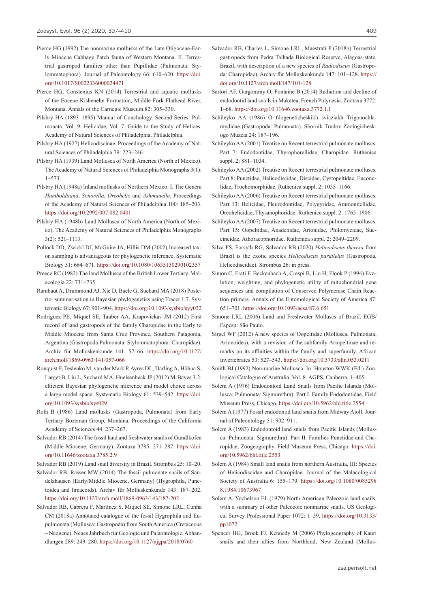- Pierce HG (1992) The nonmarine mollusks of the Late Oligocene-Early Miocene Cabbage Patch fauna of Western Montana. II. Terrestrial gastropod families other than Pupillidae (Pulmonata: Stylommatophora). Journal of Paleontology 66: 610–620. [https://doi.](https://doi.org/10.1017/S0022336000024471) [org/10.1017/S0022336000024471](https://doi.org/10.1017/S0022336000024471)
- Pierce HG, Constenius KN (2014) Terrestrial and aquatic mollusks of the Eocene Kishenehn Formation, Middle Fork Flathead River, Montana. Annals of the Carnegie Museum 82: 305–330.
- Pilsbry HA (1893–1895) Manual of Conchology. Second Series: Pulmonata. Vol. 9. Helicidae, Vol. 7. Guide to the Study of Helices. Academy of Natural Sciences of Philadelphia, Philadelphia.
- Pilsbry HA (1927) Helicodiscinae. Proceedings of the Academy of Natural Sciences of Philadelphia 79: 223–246.
- Pilsbry HA (1939) Land Mollusca of North America (North of Mexico). The Academy of Natural Sciences of Philadelphia Monographs 3(1): 1–573.
- Pilsbry HA (1948a) Inland mollusks of Northern Mexico: I. The Genera *Humboldtiana*, *Sonorella*, *Oreohelix* and *Ashmunella*. Proceedings of the Academy of Natural Sciences of Philadelphia 100: 185–203. <https://doi.org/10.2992/007.082.0401>
- Pilsbry HA (1948b) Land Mollusca of North America (North of Mexico). The Academy of Natural Sciences of Philadelphia Monographs 3(2): 521–1113.
- Pollock DD, Zwickl DJ, McGuire JA, Hillis DM (2002) Increased taxon sampling is advantageous for phylogenetic inference. Systematic Biology 51: 664–671. <https://doi.org/10.1080/10635150290102357>
- Preece RC (1982) The land Mollusca of the British Lower Tertiary. Malacologia 22: 731–735.
- Rambaut A, Drummond AJ, Xie D, Baele G, Suchard MA (2018) Posterior summarisation in Bayesian phylogenetics using Tracer 1.7. Systematic Biology 67: 901–904. <https://doi.org/10.1093/sysbio/syy032>
- Rodríguez PE, Miquel SE, Tauber AA, Krapovickas JM (2012) First record of land gastropods of the family Charopidae in the Early to Middle Miocene from Santa Cruz Province, Southern Patagonia, Argentina (Gastropoda Pulmonata: Stylommatophora: Charopidae). Archiv für Molluskenkunde 141: 57–66. [https://doi.org/10.1127/](https://doi.org/10.1127/arch.moll/1869-0963/141/057-066) [arch.moll/1869-0963/141/057-066](https://doi.org/10.1127/arch.moll/1869-0963/141/057-066)
- Ronquist F, Teslenko M, van der Mark P, Ayres DL, Darling A, Höhna S, Larget B, Liu L, Suchard MA, Huelsenbeck JP (2012) MrBayes 3.2: efficient Bayesian phylogenetic inference and model choice across a large model space. Systematic Biology 61: 539–542. [https://doi.](https://doi.org/10.1093/sysbio/sys029) [org/10.1093/sysbio/sys029](https://doi.org/10.1093/sysbio/sys029)
- Roth B (1986) Land mollusks (Gastropoda, Pulmonata) from Early Tertiary Bozeman Group, Montana. Proceedings of the California Academy of Sciences 44: 237–267.
- Salvador RB (2014) The fossil land and freshwater snails of Gündlkofen (Middle Miocene, Germany). Zootaxa 3785: 271–287. [https://doi.](https://doi.org/10.11646/zootaxa.3785.2.9) [org/10.11646/zootaxa.3785.2.9](https://doi.org/10.11646/zootaxa.3785.2.9)

Salvador RB (2019) Land snail diversity in Brazil. Strombus 25: 10–20.

- Salvador RB, Rasser MW (2014) The fossil pulmonate snails of Sandelzhausen (Early/Middle Miocene, Germany) (Hygrophila, Punctoidea and limacoids). Archiv für Molluskenkunde 143: 187–202. <https://doi.org/10.1127/arch.moll/1869-0963/143/187-202>
- Salvador RB, Cabrera F, Martínez S, Miquel SE, Simone LRL, Cunha CM (2018a) Annotated catalogue of the fossil Hygrophila and Eupulmonata (Mollusca: Gastropoda) from South America (Cretaceous – Neogene). Neues Jahrbuch fur Geologie und Palaontologie, Abhandlungen 289: 249–280. <https://doi.org/10.1127/njgpa/2018/0760>
- Salvador RB, Charles L, Simone LRL, Maestrati P (2018b) Terrestrial gastropods from Pedra Talhada Biological Reserve, Alagoas state, Brazil, with description of a new species of *Radiodiscus* (Gastropoda: Charopidae). Archiv für Molluskenkunde 147: 101–128. [https://](https://doi.org/10.1127/arch.moll/147/101-128) [doi.org/10.1127/arch.moll/147/101-128](https://doi.org/10.1127/arch.moll/147/101-128)
- Sartori AF, Gargominy O, Fontaine B (2014) Radiation and decline of endodontid land snails in Makatea, French Polynesia. Zootaxa 3772: 1–68. <https://doi.org/10.11646/zootaxa.3772.1.1>
- Schileyko AA (1986) O filogeneticheskikh sviaziakh Trigonochlamydidae (Gastropoda: Pulmonata). Sbornik Trudov Zoologicheskogo Muzeia 24: 187–196.
- Schileyko AA (2001) Treatise on Recent terrestrial pulmonate molluscs. Part 7: Endodontidae, Thyrophorellidae, Charopidae. Ruthenica suppl. 2: 881–1034.
- Schileyko AA (2002) Treatise on Recent terrestrial pulmonate molluscs. Part 8: Punctidae, Helicodiscidae, Discidae, Cystopeltidae, Euconulidae, Trochomorphidae. Ruthenica suppl. 2: 1035–1166.
- Schileyko AA (2006) Treatise on Recent terrestrial pulmonate molluscs. Part 13: Helicidae, Pleurodontidae, Polygyridae, Ammonitellidae, Oreohelicidae, Thysanophoridae. Ruthenica suppl. 2: 1765–1906.
- Schileyko AA (2007) Treatise on Recent terrestrial pulmonate molluscs. Part 15: Oopeltidae, Anadenidae, Arionidae, Philomycidae, Succineidae, Athoracophoridae. Ruthenica suppl. 2: 2049–2209.
- Silva FS, Forsyth RG, Salvador RB (2020) *Helicodiscus theresa* from Brazil is the exotic species *Helicodiscus parallelus* (Gastropoda, Helicodiscidae). Strombus 26: in press.
- Simon C, Frati F, Beckenbach A, Crespi B, Liu H, Flook P (1994) Evolution, weighting, and phylogenetic utility of mitochondrial gene sequences and compilation of Conserved Polymerase Chain Reaction primers. Annals of the Entomological Society of America 87: 651–701. <https://doi.org/10.1093/aesa/87.6.651>
- Simone LRL (2006) Land and Freshwater Molluscs of Brazil. EGB/ Fapesp: São Paulo.
- Sirgel WF (2012) A new species of Oopeltidae (Mollusca, Pulmonata, Arionoidea), with a revision of the subfamily Ariopeltinae and remarks on its affinities within the family and superfamily. African Invertebrates 53: 527–543. <https://doi.org/10.5733/afin.053.0211>
- Smith BJ (1992) Non-marine Mollusca. In: Houston WWK (Ed.) Zoological Catalogue of Australia. Vol. 8. AGPS, Canberra, 1–405.
- Solem A (1976) Endodontoid Land Snails from Pacific Islands (Mollusca: Pulmonata: Sigmurethra). Part I. Family Endodontidae. Field Museum Press, Chicago.<https://doi.org/10.5962/bhl.title.2554>
- Solem A (1977) Fossil endodontid land snails from Midway Atoll. Journal of Paleontology 51: 902–911.
- Solem A (1983) Endodontoid land snails from Pacific Islands (Mollusca: Pulmonata: Sigmurethra). Part II. Families Punctidae and Charopidae, Zoogeography. Field Museum Press, Chicago. [https://doi.](https://doi.org/10.5962/bhl.title.2553) [org/10.5962/bhl.title.2553](https://doi.org/10.5962/bhl.title.2553)
- Solem A (1984) Small land snails from northern Australia, III: Species of Helicodiscidae and Charopidae. Journal of the Malacological Society of Australia 6: 155–179. [https://doi.org/10.1080/0085298](https://doi.org/10.1080/00852988.1984.10673967) [8.1984.10673967](https://doi.org/10.1080/00852988.1984.10673967)
- Solem A, Yochelson EL (1979) North American Paleozoic land snails, with a summary of other Paleozoic nonmarine snails. US Geological Survey Professional Paper 1072: 1–39. [https://doi.org/10.3133/](https://doi.org/10.3133/pp1072) [pp1072](https://doi.org/10.3133/pp1072)
- Spencer HG, Brook FJ, Kennedy M (2006) Phylogeography of Kauri snails and their allies from Northland, New Zealand (Mollus-